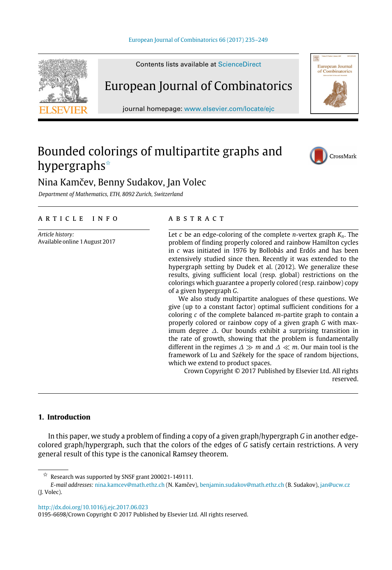

Contents lists available at [ScienceDirect](http://www.elsevier.com/locate/ejc)

# European Journal of Combinatorics

journal homepage: [www.elsevier.com/locate/ejc](http://www.elsevier.com/locate/ejc)

# Bounded colorings of multipartite graphs and hypergraphs<sup>☆</sup>



European Journal<br>of Combinatorics

# Nina Kamčev, Benny Sudakov, Jan Volec

*Department of Mathematics, ETH, 8092 Zurich, Switzerland*

### a r t i c l e i n f o

*Article history:* Available online 1 August 2017

### a b s t r a c t

Let *c* be an edge-coloring of the complete *n*-vertex graph *Kn*. The problem of finding properly colored and rainbow Hamilton cycles in *c* was initiated in 1976 by Bollobás and Erdős and has been extensively studied since then. Recently it was extended to the hypergraph setting by Dudek et al. (2012). We generalize these results, giving sufficient local (resp. global) restrictions on the colorings which guarantee a properly colored (resp. rainbow) copy of a given hypergraph *G*.

We also study multipartite analogues of these questions. We give (up to a constant factor) optimal sufficient conditions for a coloring *c* of the complete balanced *m*-partite graph to contain a properly colored or rainbow copy of a given graph *G* with maximum degree ∆. Our bounds exhibit a surprising transition in the rate of growth, showing that the problem is fundamentally different in the regimes ∆ ≫ *m* and ∆ ≪ *m*. Our main tool is the framework of Lu and Székely for the space of random bijections, which we extend to product spaces.

Crown Copyright © 2017 Published by Elsevier Ltd. All rights reserved.

# **1. Introduction**

In this paper, we study a problem of finding a copy of a given graph/hypergraph *G* in another edgecolored graph/hypergraph, such that the colors of the edges of *G* satisfy certain restrictions. A very general result of this type is the canonical Ramsey theorem.

<http://dx.doi.org/10.1016/j.ejc.2017.06.023>

<span id="page-0-0"></span> $\overrightarrow{x}$  Research was supported by SNSF grant 200021-149111.

*E-mail addresses:* [nina.kamcev@math.ethz.ch](mailto:nina.kamcev@math.ethz.ch) (N. Kamčev), [benjamin.sudakov@math.ethz.ch](mailto:benjamin.sudakov@math.ethz.ch) (B. Sudakov), [jan@ucw.cz](mailto:jan@ucw.cz) (J. Volec).

<sup>0195-6698/</sup>Crown Copyright © 2017 Published by Elsevier Ltd. All rights reserved.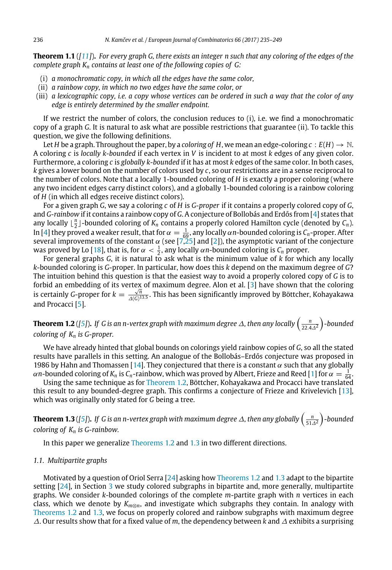**Theorem 1.1** (*[\[11\]](#page-13-0)*)**.** *For every graph G, there exists an integer n such that any coloring of the edges of the complete graph K<sup>n</sup> contains at least one of the following copies of G:*

- (i) *a monochromatic copy, in which all the edges have the same color,*
- (ii) *a rainbow copy, in which no two edges have the same color, or*
- (iii) *a lexicographic copy, i.e. a copy whose vertices can be ordered in such a way that the color of any edge is entirely determined by the smaller endpoint.*

If we restrict the number of colors, the conclusion reduces to (i), i.e. we find a monochromatic copy of a graph *G*. It is natural to ask what are possible restrictions that guarantee (ii). To tackle this question, we give the following definitions.

Let *H* be a graph. Throughout the paper, by a *coloring of H*, we mean an edge-coloring  $c : E(H) \to \mathbb{N}$ . A coloring *c* is *locally k-bounded* if each vertex in *V* is incident to at most *k* edges of any given color. Furthermore, a coloring *c* is *globally k-bounded* if it has at most *k* edges of the same color. In both cases, *k* gives a lower bound on the number of colors used by *c*, so our restrictions are in a sense reciprocal to the number of colors. Note that a locally 1-bounded coloring of *H* is exactly a proper coloring (where any two incident edges carry distinct colors), and a globally 1-bounded coloring is a rainbow coloring of *H* (in which all edges receive distinct colors).

For a given graph *G*, we say a coloring *c* of *H* is *G-proper* if it contains a properly colored copy of *G*, and *G-rainbow* if it contains a rainbow copy of *G*. A conjecture of Bollobás and Erdős from [\[4\]](#page-13-1) states that any locally  $\lfloor \frac{n}{2} \rfloor$ -bounded coloring of  $K_n$  contains a properly colored Hamilton cycle (denoted by  $C_n$ ). In [\[4\]](#page-13-1) they proved a weaker result, that for  $\alpha = \frac{1}{69}$ , any locally  $\alpha n$ -bounded coloring is  $C_n$ -proper. After several improvements of the constant  $\alpha$  (see [\[7,](#page-13-2)[25\]](#page-14-0) and [\[2\]](#page-13-3)), the asymptotic variant of the conjecture was proved by Lo [\[18\]](#page-13-4), that is, for  $\alpha < \frac{1}{2}$ , any locally  $\alpha n$ -bounded coloring is  $C_n$  proper.

For general graphs *G*, it is natural to ask what is the minimum value of *k* for which any locally *k*-bounded coloring is *G*-proper. In particular, how does this *k* depend on the maximum degree of *G*? The intuition behind this question is that the easiest way to avoid a properly colored copy of *G* is to forbid an embedding of its vertex of maximum degree. Alon et al. [\[3\]](#page-13-5) have shown that the coloring *i* certainly *G*-proper for  $k = \frac{\sqrt{n}}{4(0)}$ ∆(*G*) 13.5 . This has been significantly improved by Böttcher, Kohayakawa and Procacci [\[5\]](#page-13-6).

<span id="page-1-0"></span>**Theorem 1.2** ([\[5\]](#page-13-6)). If G is an n-vertex graph with maximum degree  $\varDelta$ , then any locally  $\left(\frac{n}{22.4\varDelta^2}\right)$ -bounded *coloring of K<sup>n</sup> is G-proper.*

We have already hinted that global bounds on colorings yield rainbow copies of *G*, so all the stated results have parallels in this setting. An analogue of the Bollobás–Erdős conjecture was proposed in 1986 by Hahn and Thomassen [\[14\]](#page-13-7). They conjectured that there is a constant  $\alpha$  such that any globally  $\alpha$ *n*-bounded coloring of  $K_n$  is  $C_n$ -rainbow, which was proved by Albert, Frieze and Reed [\[1\]](#page-13-8) for  $\alpha=\frac{1}{64}$ .

Using the same technique as for [Theorem 1.2,](#page-1-0) Böttcher, Kohayakawa and Procacci have translated this result to any bounded-degree graph. This confirms a conjecture of Frieze and Krivelevich [\[13\]](#page-13-9), which was originally only stated for *G* being a tree.

<span id="page-1-1"></span>**Theorem 1.3** ([\[5\]](#page-13-6)). If G is an n-vertex graph with maximum degree  $\varDelta$ , then any globally  $\left(\frac{n}{51\varDelta^2}\right)$ -bounded *coloring of K<sup>n</sup> is G-rainbow.*

In this paper we generalize [Theorems 1.2](#page-1-0) and [1.3](#page-1-1) in two different directions.

#### *1.1. Multipartite graphs*

Motivated by a question of Oriol Serra [\[24\]](#page-14-1) asking how [Theorems 1.2](#page-1-0) and [1.3](#page-1-1) adapt to the bipartite setting [\[24\]](#page-14-1), in Section [3](#page-4-0) we study colored subgraphs in bipartite and, more generally, multipartite graphs. We consider *k*-bounded colorings of the complete *m*-partite graph with *n* vertices in each class, which we denote by *Km*⊗*n*, and investigate which subgraphs they contain. In analogy with [Theorems 1.2](#page-1-0) and [1.3,](#page-1-1) we focus on properly colored and rainbow subgraphs with maximum degree ∆. Our results show that for a fixed value of *m*, the dependency between *k* and ∆ exhibits a surprising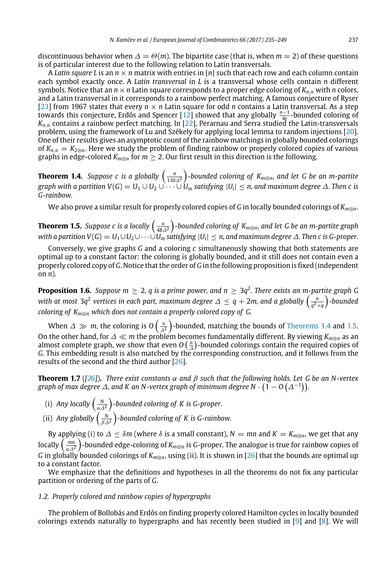discontinuous behavior when  $\Delta = \Theta(m)$ . The bipartite case (that is, when  $m = 2$ ) of these questions is of particular interest due to the following relation to Latin transversals.

A *Latin square L* is an *n* × *n* matrix with entries in [*n*] such that each row and each column contain each symbol exactly once. A *Latin transversal* in *L* is a transversal whose cells contain *n* different symbols. Notice that an  $n \times n$  Latin square corresponds to a proper edge coloring of  $K_{n,n}$  with *n* colors, and a Latin transversal in it corresponds to a rainbow perfect matching. A famous conjecture of Ryser [\[23\]](#page-14-2) from 1967 states that every  $n \times n$  Latin square for odd *n* contains a Latin transversal. As a step towards this conjecture, Erdős and Spencer [\[12\]](#page-13-10) showed that any globally *<sup>n</sup>*−<sup>1</sup> 4*e* -bounded coloring of *Kn*,*<sup>n</sup>* contains a rainbow perfect matching. In [\[22\]](#page-14-3), Perarnau and Serra studied the Latin-transversals problem, using the framework of Lu and Székely for applying local lemma to random injections [\[20\]](#page-14-4). One of their results gives an asymptotic count of the rainbow matchings in globally bounded colorings of  $K_{n,n} = K_{2\otimes n}$ . Here we study the problem of finding rainbow or properly colored copies of various graphs in edge-colored  $K_{m\otimes n}$  for  $m \geq 2$ . Our first result in this direction is the following.

<span id="page-2-0"></span>**Theorem 1.4.** Suppose c is a globally  $\left(\frac{n}{110\Delta^2}\right)$ -bounded coloring of K<sub>m⊗n</sub>, and let G be an m-partite  $g$ raph with a partition V(G)  $=U_1\cup U_2\cup\dots\cup U_m$  satisfying  $|U_i|\leq n$ , and maximum degree  $\varDelta$ . Then  $c$  is *G-rainbow.*

We also prove a similar result for properly colored copies of *G* in locally bounded colorings of *Km*⊗*n*.

<span id="page-2-1"></span>**Theorem 1.5.** Suppose  $c$  is a locally  $\left(\frac{n}{48\Delta^2}\right)$ -bounded coloring of  $K_{m\otimes n}$ , and let G be an m-partite graph *with a partition V(G)*  $=U_1\cup U_2\cup\cdots\cup U_m$  *satisfying*  $|U_i|\le n$ *, and maximum degree*  $\varDelta$ *. Then*  $c$  *is G-proper.* 

Conversely, we give graphs *G* and a coloring *c* simultaneously showing that both statements are optimal up to a constant factor: the coloring is globally bounded, and it still does not contain even a properly colored copy of *G*. Notice that the order of *G* in the following proposition is fixed (independent on *n*).

**Proposition 1.6.** Suppose  $m \geq 2$ , q is a prime power, and  $n \geq 3q^2$ . There exists an m-partite graph G with at most 3q<sup>2</sup> vertices in each part, maximum degree  $\varDelta\leq q+2$ m, and a globally  $\left(\frac{n}{q^2+q}\right)$ -bounded *coloring of Km*⊗*<sup>n</sup> which does not contain a properly colored copy of G.*

When  $\varDelta \gg m$ , the coloring is  $O\left(\frac{n}{\varDelta^2}\right)$ -bounded, matching the bounds of [Theorems 1.4](#page-2-0) and [1.5.](#page-2-1) On the other hand, for ∆ ≪ *m* the problem becomes fundamentally different. By viewing *Km*⊗*<sup>n</sup>* as an almost complete graph, we show that even  $O\left(\frac{n}{\Delta}\right)$ -bounded colorings contain the required copies of *G*. This embedding result is also matched by the corresponding construction, and it follows from the results of the second and the third author [\[26\]](#page-14-5).

**Theorem 1.7** ([\[26\]](#page-14-5)). *There exist constants*  $\alpha$  *and*  $\beta$  *such that the following holds. Let G be an N-vertex* graph of max degree  $\varDelta$ , and K an N-vertex graph of minimum degree N  $\cdot$   $(1 -$  O  $(\varDelta^{-1}))$ .

- (i) Any locally  $\left(\frac{N}{\alpha\Delta^2}\right)$ -bounded coloring of K is G-proper.
- (ii) *Any globally*  $\left(\frac{N}{\beta\Delta^2}\right)$ -bounded coloring of K is G-rainbow.

By applying (i) to  $\Delta \leq \delta m$  (where  $\delta$  is a small constant),  $N = mn$  and  $K = K_{m \otimes n}$ , we get that any locally  $\left(\frac{mn}{\alpha\Delta^2}\right)$ -bounded edge-coloring of  $K_{m\otimes n}$  is *G*-proper. The analogue is true for rainbow copies of *G* in globally bounded colorings of *Km*⊗*n*, using (ii). It is shown in [\[26\]](#page-14-5) that the bounds are optimal up to a constant factor.

We emphasize that the definitions and hypotheses in all the theorems do not fix any particular partition or ordering of the parts of *G*.

#### *1.2. Properly colored and rainbow copies of hypergraphs*

The problem of Bollobás and Erdős on finding properly colored Hamilton cycles in locally bounded colorings extends naturally to hypergraphs and has recently been studied in [\[9\]](#page-13-11) and [\[8\]](#page-13-12). We will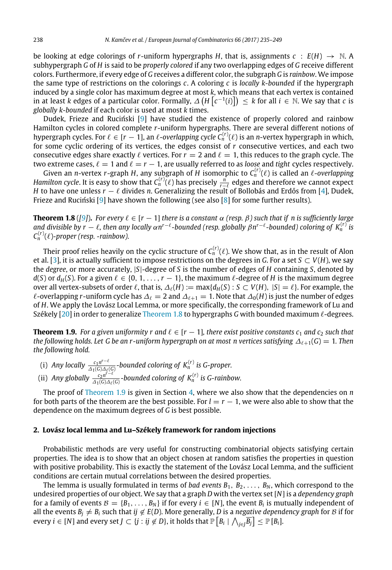be looking at edge colorings of *r*-uniform hypergraphs *H*, that is, assignments  $c : E(H) \rightarrow \mathbb{N}$ . A subhypergraph *G* of *H* is said to be *properly colored* if any two overlapping edges of *G* receive different colors. Furthermore, if every edge of *G* receives a different color, the subgraph *G* is *rainbow*. We impose the same type of restrictions on the colorings *c*. A coloring *c* is *locally k-bounded* if the hypergraph induced by a single color has maximum degree at most *k*, which means that each vertex is contained in at least  $k$  edges of a particular color. Formally,  $\varDelta\left(H\left[\mathcal{c}^{-1}(i)\right]\right)\,\leq\,k$  for all  $i\,\in\,\mathbb{N}.$  We say that  $c$  is *globally k-bounded* if each color is used at most *k* times.

Dudek, Frieze and Ruciński [\[9\]](#page-13-11) have studied the existence of properly colored and rainbow Hamilton cycles in colored complete *r*-uniform hypergraphs. There are several different notions of hypergraph cycles. For  $\ell \in [r-1]$ , an  $\ell$ -overlapping cycle  $C_n^{(r)}(\ell)$  is an  $n$ -vertex hypergraph in which, for some cyclic ordering of its vertices, the edges consist of *r* consecutive vertices, and each two consecutive edges share exactly  $\ell$  vertices. For  $r = 2$  and  $\ell = 1$ , this reduces to the graph cycle. The two extreme cases,  $\ell = 1$  and  $\ell = r - 1$ , are usually referred to as *loose* and *tight* cycles respectively.

Given an *n*-vertex *r*-graph *H*, any subgraph of *H* isomorphic to *C* (*r*) *<sup>n</sup>* (ℓ) is called an ℓ-*overlapping Hamilton cycle*. It is easy to show that  $C_n^{(r)}(\ell)$  has precisely  $\frac{n}{r-\ell}$  edges and therefore we cannot expect *H* to have one unless *r* −  $\ell$  divides *n*. Generalizing the result of Bollobás and Erdős from [\[4\]](#page-13-1), Dudek, Frieze and Rucinski [\[9\]](#page-13-11) have shown the following (see also [\[8\]](#page-13-12) for some further results).

<span id="page-3-0"></span>**Theorem 1.8** ([\[9\]](#page-13-11)). For every  $\ell \in [r-1]$  *there is a constant*  $\alpha$  (resp.  $\beta$ ) such that if n is sufficiently large and divisible by  $r-\ell$ , then any locally  $\alpha n^{r-\ell}$ -bounded (resp. globally  $\beta n^{r-\ell}$ -bounded) coloring of  $K_n^{(r)}$  is  $C_n^{(r)}(\ell)$ -proper (resp. -rainbow).

Their proof relies heavily on the cyclic structure of  $C_n^{(r)}(\ell)$ . We show that, as in the result of Alon et al. [\[3\]](#page-13-5), it is actually sufficient to impose restrictions on the degrees in *G*. For a set  $S \subset V(H)$ , we say the *degree*, or more accurately, |*S*|-degree of *S* is the number of edges of *H* containing *S*, denoted by  $d(S)$  or  $d_H(S)$ . For a given  $\ell \in \{0, 1, \ldots, r-1\}$ , the maximum  $\ell$ -degree of *H* is the maximum degree over all vertex-subsets of order  $\ell$ , that is,  $\Delta_{\ell}(H) := \max\{d_H(S) : S \subset V(H), |S| = \ell\}$ . For example, the  $\ell$ -overlapping *r*-uniform cycle has  $\Delta_{\ell} = 2$  and  $\Delta_{\ell+1} = 1$ . Note that  $\Delta_0(H)$  is just the number of edges of *H*. We apply the Lovász Local Lemma, or more specifically, the corresponding framework of Lu and Székely [\[20\]](#page-14-4) in order to generalize [Theorem 1.8](#page-3-0) to hypergraphs *G* with bounded maximum ℓ-degrees.

<span id="page-3-1"></span>**Theorem 1.9.** For a given uniformity r and  $\ell \in [r-1]$ , there exist positive constants  $c_1$  and  $c_2$  such that *the following holds. Let G be an r-uniform hypergraph on at most n vertices satisfying*  $\Delta_{\ell+1}(G) = 1$ *. Then the following hold.*

- (i) *Any locally*  $\frac{c_1 n^{r-\ell}}{4\pi (C)A}$  $\frac{c_1 n^{t-c}}{\Delta_1(G)\Delta_\ell(G)}$ -bounded coloring of  $K_n^{(r)}$  is G-proper.
- (ii) *Any globally*  $\frac{c_2 n^{\tilde{r}-\ell}}{4\pi G\Delta_{\ell}}$  $\frac{c_2 n^{r-c}}{\Delta_1(G)\Delta_\ell(G)}$ -bounded coloring of  $K_n^{(r)}$  is G-rainbow.

The proof of [Theorem 1.9](#page-3-1) is given in Section [4,](#page-8-0) where we also show that the dependencies on *n* for both parts of the theorem are the best possible. For  $l = r - 1$ , we were also able to show that the dependence on the maximum degrees of *G* is best possible.

#### **2. Lovász local lemma and Lu–Székely framework for random injections**

Probabilistic methods are very useful for constructing combinatorial objects satisfying certain properties. The idea is to show that an object chosen at random satisfies the properties in question with positive probability. This is exactly the statement of the Lovász Local Lemma, and the sufficient conditions are certain mutual correlations between the desired properties.

The lemma is usually formulated in terms of *bad events*  $B_1, B_2, \ldots, B_N$ , which correspond to the undesired properties of our object. We say that a graph *D* with the vertex set [*N*] is a *dependency graph* for a family of events  $B = \{B_1, \ldots, B_N\}$  if for every  $i \in [N]$ , the event  $B_i$  is mutually independent of all the events  $B_j \neq B_i$  such that  $ij \notin E(D)$ . More generally, *D* is a *negative dependency graph* for *B* if for  $\text{every } i \in [N]$  and  $\text{every set } J \subset \{j : ij \not \in D\},$  it holds that  $\mathbb{P}\left[ B_i \mid \bigwedge_{j \in j} \overline{B_j} \right] \leq \mathbb{P}\left[ B_i \right]$ .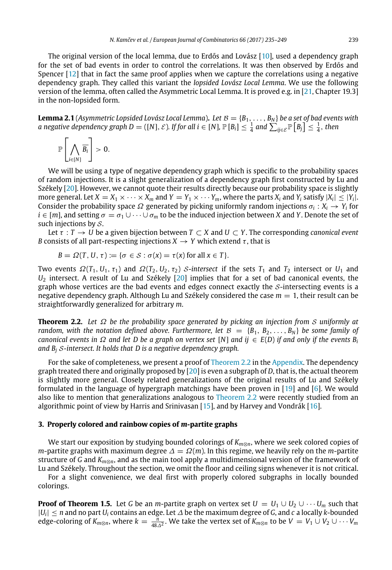The original version of the local lemma, due to Erdős and Lovász [\[10\]](#page-13-13), used a dependency graph for the set of bad events in order to control the correlations. It was then observed by Erdős and Spencer [\[12\]](#page-13-10) that in fact the same proof applies when we capture the correlations using a negative dependency graph. They called this variant the *lopsided Lovász Local Lemma*. We use the following version of the lemma, often called the Asymmetric Local Lemma. It is proved e.g. in [\[21,](#page-14-6) Chapter 19.3] in the non-lopsided form.

<span id="page-4-2"></span>**Lemma 2.1** (*Asymmetric Lopsided Lovász Local Lemma*). Let  $B = \{B_1, \ldots, B_N\}$  be a set of bad events with a negative dependency graph D  $=([N],\mathcal{E})$ . If for all  $i\in[N]$ ,  $\mathbb{P}\left[B_i\right]\leq\frac{1}{4}$  and  $\sum_{ij\in\mathcal{E}}\mathbb{P}\left[B_j\right]\leq\frac{1}{4}$ , then

$$
\mathbb{P}\left[\bigwedge_{i\in[N]}\overline{B_i}\right]>0.
$$

We will be using a type of negative dependency graph which is specific to the probability spaces of random injections. It is a slight generalization of a dependency graph first constructed by Lu and Székely [\[20\]](#page-14-4). However, we cannot quote their results directly because our probability space is slightly more general. Let  $X = X_1 \times \cdots \times X_m$  and  $Y = Y_1 \times \cdots Y_m$ , where the parts  $X_i$  and  $Y_i$  satisfy  $|X_i| \leq |Y_i|$ . Consider the probability space  $\Omega$  generated by picking uniformly random injections  $\sigma_i: X_i \to Y_i$  for  $i \in [m]$ , and setting  $\sigma = \sigma_1 \cup \cdots \cup \sigma_m$  to be the induced injection between *X* and *Y*. Denote the set of such injections by  $S$ .

Let  $\tau : T \to U$  be a given bijection between  $T \subset X$  and  $U \subset Y$ . The corresponding *canonical event B* consists of all part-respecting injections  $X \rightarrow Y$  which extend  $\tau$ , that is

$$
B = \Omega(T, U, \tau) := \{ \sigma \in S : \sigma(x) = \tau(x) \text{ for all } x \in T \}.
$$

Two events  $\Omega(T_1, U_1, \tau_1)$  and  $\Omega(T_2, U_2, \tau_2)$  S-intersect if the sets  $T_1$  and  $T_2$  intersect or  $U_1$  and *U*<sup>2</sup> intersect. A result of Lu and Székely [\[20\]](#page-14-4) implies that for a set of bad canonical events, the graph whose vertices are the bad events and edges connect exactly the  $S$ -intersecting events is a negative dependency graph. Although Lu and Székely considered the case  $m = 1$ , their result can be straightforwardly generalized for arbitrary *m*.

<span id="page-4-1"></span>**Theorem 2.2.** *Let* Ω *be the probability space generated by picking an injection from* S *uniformly at random, with the notation defined above. Furthermore, let*  $B = \{B_1, B_2, \ldots, B_N\}$  *be some family of canonical events in*  $\Omega$  *and let D* be a graph on vertex set [N] and ij  $\in$  E(D) if and only if the events B<sub>i</sub> *and B<sup>j</sup>* S*-intersect. It holds that D is a negative dependency graph.*

For the sake of completeness, we present a proof of [Theorem 2.2](#page-4-1) in the [Appendix.](#page-11-0) The dependency graph treated there and originally proposed by [\[20\]](#page-14-4) is even a subgraph of *D*, that is, the actual theorem is slightly more general. Closely related generalizations of the original results of Lu and Székely formulated in the language of hypergraph matchings have been proven in [\[19\]](#page-13-14) and [\[6\]](#page-13-15). We would also like to mention that generalizations analogous to [Theorem 2.2](#page-4-1) were recently studied from an algorithmic point of view by Harris and Srinivasan  $[15]$ , and by Harvey and Vondrák  $[16]$ .

#### <span id="page-4-0"></span>**3. Properly colored and rainbow copies of** *m***-partite graphs**

We start our exposition by studying bounded colorings of *Km*⊗*n*, where we seek colored copies of *m*-partite graphs with maximum degree  $\Delta = \Omega(m)$ . In this regime, we heavily rely on the *m*-partite structure of *G* and *Km*⊗*n*, and as the main tool apply a multidimensional version of the framework of Lu and Székely. Throughout the section, we omit the floor and ceiling signs whenever it is not critical.

For a slight convenience, we deal first with properly colored subgraphs in locally bounded colorings.

**Proof of Theorem 1.5.** Let *G* be an *m*-partite graph on vertex set  $U = U_1 \cup U_2 \cup \cdots \cup U_m$  such that |*Ui* | ≤ *n* and no part *U<sup>i</sup>* contains an edge. Let ∆ be the maximum degree of *G*, and *c* a locally *k*-bounded edge-coloring of  $K_{m\otimes n}$ , where  $k = \frac{n}{48\Delta^2}$ . We take the vertex set of  $K_{m\otimes n}$  to be  $V = V_1 \cup V_2 \cup \cdots V_m$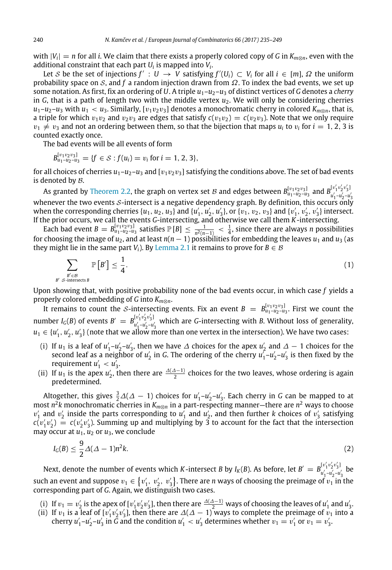with  $|V_i| = n$  for all *i*. We claim that there exists a properly colored copy of *G* in  $K_{m\otimes n}$ , even with the additional constraint that each part  $U_i$  is mapped into  $V_i$ .

Let S be the set of injections  $f': U \to V$  satisfying  $f'(U_i) \subset V_i$  for all  $i \in [m]$ ,  $\Omega$  the uniform probability space on S, and f a random injection drawn from  $\Omega$ . To index the bad events, we set up some notation. As first, fix an ordering of *U*. A triple  $u_1 - u_2 - u_3$  of distinct vertices of *G* denotes a *cherry* in *G*, that is a path of length two with the middle vertex  $u_2$ . We will only be considering cherries  $u_1$ – $u_2$ – $u_3$  with  $u_1 < u_3$ . Similarly, [ $v_1v_2v_3$ ] denotes a monochromatic cherry in colored  $K_{m\otimes n}$ , that is, a triple for which  $v_1v_2$  and  $v_2v_3$  are edges that satisfy  $c(v_1v_2) = c(v_2v_3)$ . Note that we only require  $v_1 \neq v_3$  and not an ordering between them, so that the bijection that maps  $u_i$  to  $v_i$  for  $i = 1, 2, 3$  is counted exactly once.

The bad events will be all events of form

$$
B_{u_1-u_2-u_3}^{[v_1v_2v_3]} = \{f \in S : f(u_i) = v_i \text{ for } i = 1, 2, 3\},\
$$

for all choices of cherries  $u_1-u_2-u_3$  and  $[v_1v_2v_3]$  satisfying the conditions above. The set of bad events is denoted by  $B$ .

As granted by [Theorem 2.2,](#page-4-1) the graph on vertex set B and edges between  $B^{[v_1v_2v_3]}_{u_1-u_2-u_3}$  and  $B^{[v'_1v'_2v'_3]}_{u'_1-u'_2-u_3}$  $u'_1 - u'_2 - u'_3$ whenever the two events *S*-intersect is a negative dependency graph. By definition, this occurs only when the corresponding cherries  $\{u_1, u_2, u_3\}$  and  $\{u'_1, u'_2, u'_3\}$ , or  $\{v_1, v_2, v_3\}$  and  $\{v'_1, v'_2, v'_3\}$  intersect. If the prior occurs, we call the events *G*-intersecting, and otherwise we call them *K*-intersecting.

Each bad event  $B = B_{u_1-u_2-u_3}^{[v_1v_2v_3]}$  satisfies  $\mathbb{P}[B] \le \frac{1}{n^2(n-1)} < \frac{1}{4}$ , since there are always *n* possibilities for choosing the image of *u*2, and at least *n*(*n* − 1) possibilities for embedding the leaves *u*<sup>1</sup> and *u*<sup>3</sup> (as they might lie in the same part *V*<sub>*i*</sub>). By [Lemma 2.1](#page-4-2) it remains to prove for  $B \in \mathcal{B}$ 

<span id="page-5-0"></span>
$$
\sum_{\substack{B' \in \mathcal{B} \\ S \text{-intersects } B}} \mathbb{P}\left[B'\right] \le \frac{1}{4}.\tag{1}
$$

Upon showing that, with positive probability none of the bad events occur, in which case *f* yields a properly colored embedding of *G* into *Km*⊗*n*.

It remains to count the *S*-intersecting events. Fix an event  $B = B_{u_1-u_2-u_3}^{[v_1v_2v_3]}$ . First we count the number *I<sub>G</sub>*(*B*) of events  $B' = B_{\frac{1}{2} \cdot 2}^{\lfloor \frac{1}{2} \cdot 2 \cdot \frac{1}{3} \rfloor}$  $u'_{1}$ <sup>-1</sup><sup>2</sup><sup>-3</sup><sup>3</sup> which are *G*-intersecting with *B*. Without loss of generality,  $u_1 \in \{u'_1, u'_2, u'_3\}$  (note that we allow more than one vertex in the intersection). We have two cases:

- (i) If *u*<sub>1</sub> is a leaf of *u*'<sub>1</sub>-*u*'<sub>2</sub>-*u*'<sub>3</sub>, then we have  $\Delta$  choices for the apex *u*'<sub>2</sub> and  $\Delta 1$  choices for the second leaf as a neighbor of  $u'_2$  in *G*. The ordering of the cherry  $u'_1$ – $u'_2$ – $u'_3$  is then fixed by the requirement  $u'_1 < u'_3$ .
- (ii) If  $u_1$  is the apex  $u'_2$ , then there are  $\frac{\Delta(\Delta-1)}{2}$  choices for the two leaves, whose ordering is again predetermined.

Altogether, this gives  $\frac{3}{2}\Delta(\Delta-1)$  choices for  $u'_1$ - $u'_2$ - $u'_3$ . Each cherry in *G* can be mapped to at most *n* 2 *k* monochromatic cherries in *Km*⊗*<sup>n</sup>* in a part-respecting manner—there are *n* <sup>2</sup> ways to choose  $v'_1$  and  $v'_2$  inside the parts corresponding to  $u'_1$  and  $u'_2$ , and then further *k* choices of  $v'_3$  satisfying  $c(v'_1v'_2) = c(v'_2v'_3)$ . Summing up and multiplying by 3 to account for the fact that the intersection may occur at  $u_1$ ,  $u_2$  or  $u_3$ , we conclude

<span id="page-5-1"></span>
$$
I_G(B) \le \frac{9}{2}\Delta(\Delta - 1)n^2k. \tag{2}
$$

Next, denote the number of events which *K*-intersect *B* by *I<sub>K</sub>*(*B*). As before, let  $B' = B^{[v'_1 v'_2 v'_3]}_{v'_1 \to v'_2 \to v'_3}$  $u'_1 - u'_2 - u'_3$  be such an event and suppose  $v_1\in \{v'_1,~v'_2,~v'_3\}.$  There are *n* ways of choosing the preimage of  $v_1$  in the corresponding part of *G*. Again, we distinguish two cases.

- (i) If  $v_1 = v_2'$  is the apex of  $[v_1'v_2'v_3']$ , then there are  $\frac{\Delta(\Delta-1)}{2}$  ways of choosing the leaves of  $u_1'$  and  $u_3'$ .
- (ii) If  $v_1$  is a leaf of  $[v'_1v'_2v'_3]$ , then there are  $\Delta(\Delta-1)$  ways to complete the preimage of  $v_1$  into a cherry  $u'_1 - u'_2 - u'_3$  in  $\tilde{G}$  and the condition  $u'_1 < u'_3$  determines whether  $v_1 = v'_1$  or  $v_1 = v'_3$ .

*B*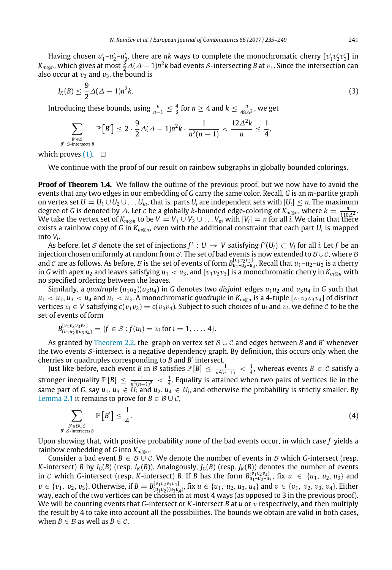Having chosen  $u'_1 - u'_2 - u'_3$ , there are *nk* ways to complete the monochromatic cherry  $[v'_1v'_2v'_3]$  in  $K_{m\otimes n}$ , which gives at most  $\frac{3}{2}\varDelta(\varDelta-1)n^2k$  bad events  $\varSigma$ -intersecting  $B$  at  $v_1$ . Since the intersection can also occur at  $v_2$  and  $v_3$ , the bound is

<span id="page-6-0"></span>
$$
I_K(B) \le \frac{9}{2}\Delta(\Delta - 1)n^2k. \tag{3}
$$

Introducing these bounds, using  $\frac{n}{n-1} \leq \frac{4}{3}$  for  $n \geq 4$  and  $k \leq \frac{n}{48\Delta^2}$ , we get

$$
\sum_{B' \subset B \atop B' \text{ S-intersects } B} \mathbb{P}\left[B'\right] \leq 2 \cdot \frac{9}{2} \Delta(\Delta - 1)n^2k \cdot \frac{1}{n^2(n-1)} < \frac{12\Delta^2k}{n} \leq \frac{1}{4},
$$

which proves  $(1)$ .  $\square$ 

We continue with the proof of our result on rainbow subgraphs in globally bounded colorings.

**Proof of Theorem 1.4.** We follow the outline of the previous proof, but we now have to avoid the events that any two edges in our embedding of *G* carry the same color. Recall, *G* is an *m*-partite graph on vertex set  $U = U_1 \cup U_2 \cup \ldots U_m$ , that is, parts  $U_i$  are independent sets with  $|U_i| \leq n$ . The maximum degree of *G* is denoted by  $\Delta$ . Let *c* be a globally *k*-bounded edge-coloring of  $K_{m\otimes n}$ , where  $k = \frac{n}{110\Delta^2}$ . We take the vertex set of  $K_{m\otimes n}$  to be  $V = V_1 \cup V_2 \cup \ldots V_m$  with  $|V_i| = n$  for all *i*. We claim that there wertex set of  $K_{m\otimes n}$  to be  $V = V_1 \cup V_2 \cup \ldots V_m$  with  $|V_i| = n$  for all *i*. We claim that there exists a rainbow copy of *G* in *Km*⊗*n*, even with the additional constraint that each part *U<sup>i</sup>* is mapped into *V<sup>i</sup>* .

As before, let  $S$  denote the set of injections  $f': U \to V$  satisfying  $f'(U_i) \subset V_i$  for all *i*. Let  $f$  be an injection chosen uniformly at random from S. The set of bad events is now extended to  $B\cup C$ , where B and  $C$  are as follows. As before,  $B$  is the set of events of form  $B^{[v_1v_2v_3]}_{u_1-u_2-u_3}$ . Recall that  $u_1-u_2-u_3$  is a cherry in *G* with apex  $u_2$  and leaves satisfying  $u_1 < u_3$ , and [ $v_1v_2v_3$ ] is a monochromatic cherry in  $K_{m\otimes n}$  with no specified ordering between the leaves.

Similarly, a *quadruple*  $(u_1u_2)(u_3u_4)$  in *G* denotes two *disjoint* edges  $u_1u_2$  and  $u_3u_4$  in *G* such that  $u_1 < u_2, u_3 < u_4$  and  $u_1 < u_3$ . A monochromatic *quadruple* in  $K_{m \otimes n}$  is a 4-tuple  $[v_1v_2v_3v_4]$  of distinct vertices  $v_i \in V$  satisfying  $c(v_1v_2) = c(v_3v_4)$ . Subject to such choices of  $u_i$  and  $v_i$ , we define  $C$  to be the set of events of form

$$
B_{(u_1u_2)(u_3u_4)}^{[v_1v_2v_3v_4]} = \{f \in S : f(u_i) = v_i \text{ for } i = 1, ..., 4\}.
$$

As granted by [Theorem 2.2,](#page-4-1) the graph on vertex set  $\mathcal{B} \cup \mathcal{C}$  and edges between *B* and *B'* whenever the two events  $S$ -intersect is a negative dependency graph. By definition, this occurs only when the cherries or quadruples corresponding to *B* and *B* ′ intersect.

Just like before, each event *B* in *B* satisfies  $\mathbb{P}[B]\leq\frac{1}{n^2(n-1)}<\frac{1}{4}$ , whereas events  $B\in\mathcal{C}$  satisfy a stronger inequality  $\mathbb{P}[B]\,\leq\,\frac{1}{n^2(n-1)^2}\,<\,\frac{1}{4}.$  Equality is attained when two pairs of vertices lie in the same part of *G*, say  $u_1, u_3 \in U_i$  and  $u_2, u_4 \in U_j$ , and otherwise the probability is strictly smaller. By [Lemma 2.1](#page-4-2) it remains to prove for  $B \in \mathcal{B} \cup \mathcal{C}$ ,

$$
\sum_{\substack{B' \in \mathcal{B} \cup \mathcal{C} \\ B' \text{ S-intersects } B}} \mathbb{P}\left[B'\right] \le \frac{1}{4}.\tag{4}
$$

Upon showing that, with positive probability none of the bad events occur, in which case *f* yields a rainbow embedding of *G* into *Km*⊗*n*.

Consider a bad event  $B \in \mathcal{B} \cup \mathcal{C}$ . We denote the number of events in  $\mathcal{B}$  which *G*-intersect (resp. *K*-intersect) *B* by *I<sub>G</sub>*(*B*) (resp. *I<sub>K</sub>*(*B*)). Analogously, *J<sub>G</sub>*(*B*) (resp. *J<sub>K</sub>*(*B*)) denotes the number of events in C which G-intersect (resp. K-intersect) *B*. If *B* has the form  $B_{u_1-u_2-u_3}^{[v_1v_2v_3]}$ , fix  $u \in \{u_1, u_2, u_3\}$  and  $v \in \{v_1, v_2, v_3\}$ . Otherwise, if  $B = B^{[v_1v_2v_3v_4]}_{(u_1u_2)(u_3u_4)}$ , fix  $u \in \{u_1, u_2, u_3, u_4\}$  and  $v \in \{v_1, v_2, v_3, v_4\}$ . Either way, each of the two vertices can be chosen in at most 4 ways (as opposed to 3 in the previous proof). We will be counting events that *G*-intersect or *K*-intersect *B* at *u* or v respectively, and then multiply the result by 4 to take into account all the possibilities. The bounds we obtain are valid in both cases, when *B*  $\in$  *B* as well as *B*  $\in$  *C*.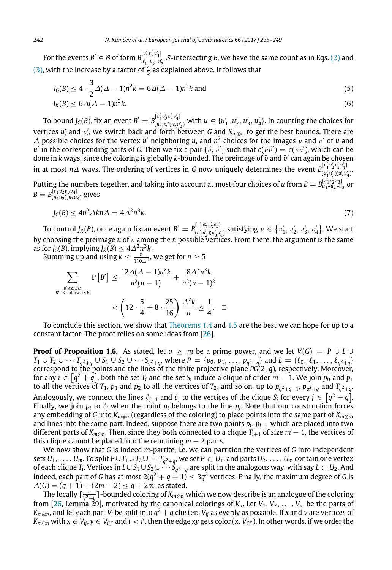For the events  $B' \in \mathcal{B}$  of form  $B_{n',n',n'}^{[v'_1v'_2v'_3]}$  $u'_{1}$ <sub>,  $u'_{2}$ ,  $u'_{3}$ , *S*-intersecting *B*, we have the same count as in Eqs. [\(2\)](#page-5-1) and</sub> [\(3\),](#page-6-0) with the increase by a factor of  $\frac{4}{3}$  as explained above. It follows that

$$
I_G(B) \le 4 \cdot \frac{3}{2} \Delta(\Delta - 1)n^2 k = 6\Delta(\Delta - 1)n^2 k \text{ and}
$$
 (5)

$$
I_K(B) \leq 6\Delta(\Delta - 1)n^2k. \tag{6}
$$

To bound  $J_G(B)$ , fix an event  $B' = B^{[v'_1 v'_2 v'_3 v'_4]}_{(u', u'_1 v'_2 v'_3 v'_4)}$  $(u_1'v_2'v_3'v_4')$  with  $u \in \{u'_1, u'_2, u'_3, u'_4\}$ . In counting the choices for vertices  $u'_i$  and  $v'_i$ , we switch back and forth between *G* and  $K_{m\otimes n}$  to get the best bounds. There are  $\Delta$  possible choices for the vertex *u'* neighboring *u*, and  $n^2$  choices for the images *v* and *v'* of *u* and  $u'$  in the corresponding parts of *G*. Then we fix a pair  $\{\tilde{v},\tilde{v}'\}$  such that  $c(\tilde{v}\tilde{v}') = c(vv')$ , which can be done in  $k$  ways, since the coloring is globally  $k$ -bounded. The preimage of  $\tilde{v}$  and  $\tilde{v}'$  can again be chosen in at most *n*∆ ways. The ordering of vertices in *G* now uniquely determines the event  $B_{(u',u',v'_{u'}}^{[v'_1v'_2v'_3v'_4]}$  $(u'_1u'_2)(u'_3u'_4)$ Putting the numbers together, and taking into account at most four choices of  $u$  from  $B=B^{[\nu_1\nu_2\nu_3]}_{u_1-u_2-u_3}$ or  $B = B_{(u_1u_2)(u_3u_4)}^{[v_1v_2v_3v_4]}$  gives

$$
J_G(B) \le 4n^2 \Delta k n \Delta = 4\Delta^2 n^3 k. \tag{7}
$$

To control  $J_K(B)$ , once again fix an event  $B' = B^{[v'_1 v'_2 v'_3 v'_4]}_{[u'_L, u'_L, v'_R, u'_R]}$  $(u_1^{\prime}u_2^{\prime})u_3^{\prime}u_4^{\prime}$  satisfying  $v \in \{v_1^{\prime}, v_2^{\prime}, v_3^{\prime}, v_4^{\prime}\}.$  We start by choosing the preimage *u* of v among the *n* possible vertices. From there, the argument is the same as for *J*<sub>*G*</sub>(*B*), implying *J*<sub>*K*</sub>(*B*)  $\leq 4\Delta^2 n^3k$ .

Summing up and using  $k \leq \frac{n}{110\Delta^2}$ , we get for  $n \geq 5$ 

$$
\sum_{B' \text{ s-intersects } B} \mathbb{P}\left[B'\right] \le \frac{12\Delta(\Delta - 1)n^2k}{n^2(n-1)} + \frac{8\Delta^2n^3k}{n^2(n-1)^2}
$$
\n
$$
< \left(12 \cdot \frac{5}{4} + 8 \cdot \frac{25}{16}\right) \frac{\Delta^2k}{n} \le \frac{1}{4}. \quad \Box
$$

To conclude this section, we show that [Theorems 1.4](#page-2-0) and [1.5](#page-2-1) are the best we can hope for up to a constant factor. The proof relies on some ideas from [\[26\]](#page-14-5).

**Proof of Proposition 1.6.** As stated, let  $q \geq m$  be a prime power, and we let  $V(G) = P \cup L \cup$  $T_1 \cup T_2 \cup \cdots T_{q^2+q} \cup S_1 \cup S_2 \cup \cdots S_{q^2+q}$ , where  $P = \{p_0, p_1, \ldots, p_{q^2+q}\}\$  and  $L = \{\ell_0, \ell_1, \ldots, \ell_{q^2+q}\}$ correspond to the points and the lines of the finite projective plane *PG*(2, *q*), respectively. Moreover, for any  $i\in\lbrack q^{2}+q]$ , both the set  $T_{i}$  and the set  $S_{i}$  induce a clique of order  $m-1.$  We join  $p_{0}$  and  $p_{1}$ to all the vertices of  $T_1$ ,  $p_1$  and  $p_2$  to all the vertices of  $T_2$ , and so on, up to  $p_{q^2+q-1}$ ,  $p_{q^2+q}$  and  $T_{q^2+q}$ . Analogously, we connect the lines  $\ell_{j-1}$  and  $\ell_j$  to the vertices of the clique  $S_j$  for every  $j\in\big[q^2+q\big].$ Finally, we join  $p_i$  to  $\ell_j$  when the point  $p_i$  belongs to the line  $p_j$ . Note that our construction forces any embedding of *G* into *Km*⊗*<sup>n</sup>* (regardless of the coloring) to place points into the same part of *Km*⊗*n*, and lines into the same part. Indeed, suppose there are two points  $p_i$ ,  $p_{i+1}$  which are placed into two different parts of  $K_{m\otimes n}$ . Then, since they both connected to a clique  $T_{i+1}$  of size  $m-1$ , the vertices of this clique cannot be placed into the remaining  $m - 2$  parts.

We now show that *G* is indeed *m*-partite, i.e. we can partition the vertices of *G* into independent  $U_1,\ldots,U_m$ . To split  $P\cup T_1\cup T_2\cup\cdots T_{q^2+q}$ , we set  $P\subset U_1$ , and parts  $U_2,\ldots,U_m$  contain one vertex of each clique *T<sup>i</sup>* . Vertices in *L*∪*S*<sup>1</sup> ∪*S*<sup>2</sup> ∪ · · · *S<sup>q</sup>* 2+*q* are split in the analogous way, with say *L* ⊂ *U*2. And indeed, each part of *G* has at most 2( $q^2+q+1)\leq 3q^2$  vertices. Finally, the maximum degree of *G* is  $\Delta(G) = (q + 1) + (2m - 2) \leq q + 2m$ , as stated.

The locally  $\lceil \frac{n}{q^2+q} \rceil$ -bounded coloring of  $K_{m\otimes n}$  which we now describe is an analogue of the coloring from [\[26,](#page-14-5) Lemma 29], motivated by the canonical colorings of  $K_n$ . Let  $V_1, V_2, \ldots, V_m$  be the parts of  $K_{m\otimes n}$ , and let each part  $V_i$  be split into  $q^2+q$  clusters  $V_{ij}$  as evenly as possible. If *x* and  $y$  are vertices of  $K_{m\otimes n}$  with  $x\in V_{ij}$ ,  $y\in V_{i'j'}$  and  $i< i'$ , then the edge xy gets color  $(x, V_{i'j'})$ . In other words, if we order the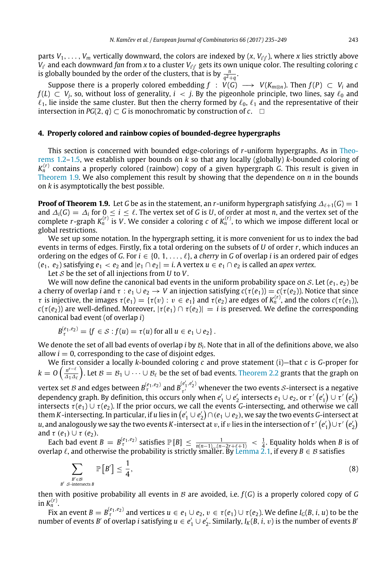parts  $V_1, \ldots, V_m$  vertically downward, the colors are indexed by  $(x, V_{i'j'})$ , where *x* lies strictly above  $V_{i'}$  and each downward *fan from x to a cluster*  $V_{i'j'}$  *gets its own unique color. The resulting coloring*  $c$ is globally bounded by the order of the clusters, that is by  $\frac{n}{q^2+q}$ .

Suppose there is a properly colored embedding  $f : V(G) \longrightarrow V(K_{m \otimes n})$ . Then  $f(P) \subset V_i$  and  $f(L) \subset V_j$ , so, without loss of generality,  $i \prec j$ . By the pigeonhole principle, two lines, say  $\ell_0$  and  $\ell_1$ , lie inside the same cluster. But then the cherry formed by  $\ell_0$ ,  $\ell_1$  and the representative of their intersection in  $PG(2, q) \subset G$  is monochromatic by construction of  $c$ .  $\Box$ 

#### <span id="page-8-0"></span>**4. Properly colored and rainbow copies of bounded-degree hypergraphs**

This section is concerned with bounded edge-colorings of *r*-uniform hypergraphs. As in [Theo](#page-1-0)[rems 1.2](#page-1-0)[–1.5,](#page-2-1) we establish upper bounds on *k* so that any locally (globally) *k*-bounded coloring of *K* (*r*) *<sup>n</sup>* contains a properly colored (rainbow) copy of a given hypergraph *G*. This result is given in [Theorem 1.9.](#page-3-1) We also complement this result by showing that the dependence on  $n$  in the bounds on *k* is asymptotically the best possible.

**Proof of Theorem 1.9.** Let *G* be as in the statement, an *r*-uniform hypergraph satisfying  $\Delta_{\ell+1}(G) = 1$ and  $\Delta_i(G) = \Delta_i$  for  $0 \leq i \leq \ell$ . The vertex set of *G* is *U*, of order at most *n*, and the vertex set of the complete *r*-graph  $K_n^{(r)}$  is V. We consider a coloring  $c$  of  $K_n^{(r)}$ , to which we impose different local or global restrictions.

We set up some notation. In the hypergraph setting, it is more convenient for us to index the bad events in terms of edges. Firstly, fix a total ordering on the subsets of *U* of order *r*, which induces an ordering on the edges of *G*. For  $i \in \{0, 1, \ldots, \ell\}$ , a *cherry* in *G* of overlap *i* is an ordered pair of edges  $(e_1, e_2)$  satisfying  $e_1 < e_2$  and  $|e_1 \cap e_2| = i$ . A vertex  $u \in e_1 \cap e_2$  is called an *apex vertex*.

Let S be the set of all injections from *U* to *V*.

We will now define the canonical bad events in the uniform probability space on S. Let ( $e_1, e_2$ ) be a cherry of overlap *i* and  $\tau : e_1 \cup e_2 \to V$  an injection satisfying  $c(\tau(e_1)) = c(\tau(e_2))$ . Notice that since  $\tau$  is injective, the images  $\tau(e_1) = \{\tau(v) : v \in e_1\}$  and  $\tau(e_2)$  are edges of  $K_n^{(r)}$ , and the colors  $c(\tau(e_1))$ ,  $c(\tau(e_2))$  are well-defined. Moreover,  $|\tau(e_1) \cap \tau(e_2)| = i$  is preserved. We define the corresponding canonical bad event (of overlap *i*)

$$
B_{\tau}^{(e_1,e_2)} = \{f \in \mathcal{S} : f(u) = \tau(u) \text{ for all } u \in e_1 \cup e_2\}.
$$

We denote the set of all bad events of overlap *i* by B*<sup>i</sup>* . Note that in all of the definitions above, we also allow  $i = 0$ , corresponding to the case of disjoint edges.

We first consider a locally *k*-bounded coloring *c* and prove statement (i)—that *c* is *G*-proper for  $k = 0 \left( \frac{n^{r-\ell}}{4\lambda} \right)$  $\frac{n^{r-\ell}}{\Delta_1\Delta_\ell}$ ). Let  $\mathcal{B} = \mathcal{B}_1 \cup \cdots \cup \mathcal{B}_\ell$  be the set of bad events. [Theorem 2.2](#page-4-1) grants that the graph on vertex set *B* and edges between  $B_{\tau}^{(e_1, e_2)}$  and  $B_{\tau'}^{(e'_1, e'_2)}$  $\tau'$  whenever the two events *S*-intersect is a negative dependency graph. By definition, this occurs only when  $e_1'\cup e_2'$  intersects  $e_1\cup e_2$ , or  $\tau'\left(e_1'\right)\cup\tau'\left(e_2'\right)$ intersects  $\tau(e_1) \cup \tau(e_2)$ . If the prior occurs, we call the events *G*-intersecting, and otherwise we call them *K* -intersecting. In particular, if *u* lies in  $(e'_1\cup e'_2)\cap(e_1\cup e_2)$ , we say the two events *G*-intersect at

 $u$ , and analogously we say the two events  $K$  -intersect at  $v$ , if  $v$  lies in the intersection of  $\tau'\left(e_1'\right)\cup\tau'\left(e_2'\right)$ and  $\tau$  ( $e_1$ )  $\cup$   $\tau$  ( $e_2$ ). Each bad event  $B = B_{\tau}^{(e_1,e_2)}$  satisfies  $\mathbb{P}[B] \le \frac{1}{n(n-1)...(n-2r+\ell+1)} < \frac{1}{4}$ . Equality holds when *B* is of

overlap  $\ell$ , and otherwise the probability is strictly smaller. By [Lemma 2.1,](#page-4-2) if every  $B\in\mathcal{B}$  satisfies

<span id="page-8-1"></span>
$$
\sum_{\substack{B' \in \mathcal{B} \\ B' \text{ S-intersects } B}} \mathbb{P}\left[B'\right] \le \frac{1}{4},\tag{8}
$$

then with positive probability all events in  $\mathcal B$  are avoided, i.e.  $f(G)$  is a properly colored copy of  $G$ in  $K_n^{(r)}$ .

Fix an event  $B=B_{\tau}^{(e_1,e_2)}$  and vertices  $u\in e_1\cup e_2$ ,  $v\in \tau(e_1)\cup \tau(e_2)$ . We define  $I_G(B,i,u)$  to be the number of events *B'* of overlap *i* satisfying  $u \in e'_1 \cup e'_2$ . Similarly,  $I_K(B, i, v)$  is the number of events *B'*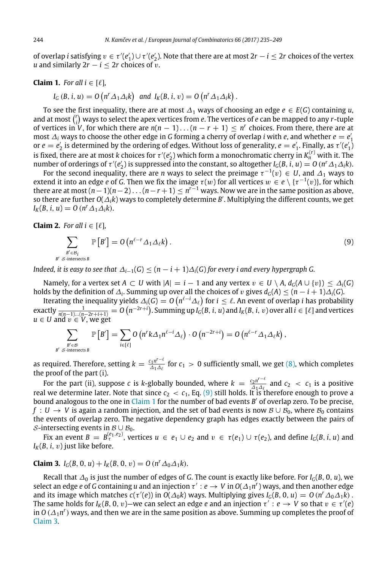of overlap *i* satisfying  $v \in \tau'(e_1') \cup \tau'(e_2')$ . Note that there are at most  $2r - i \leq 2r$  choices of the vertex *u* and similarly  $2r - i < 2r$  choices of v.

#### <span id="page-9-1"></span>**Claim 1.** *For all*  $i \in [\ell]$ *,*

$$
I_G(B, i, u) = O\left(n^r \Delta_1 \Delta_i k\right) \text{ and } I_K(B, i, v) = O\left(n^r \Delta_1 \Delta_i k\right).
$$

To see the first inequality, there are at most  $\Delta_1$  ways of choosing an edge  $e \in E(G)$  containing *u*, and at most  $\binom{r}{i}$  ways to select the apex vertices from  $e.$  The vertices of  $e$  can be mapped to any  $r$ -tuple of vertices in *V*, for which there are  $n(n-1)...(n-r+1) \le n^r$  choices. From there, there are at most  $\Delta_i$  ways to choose the other edge in *G* forming a cherry of overlap *i* with *e*, and whether  $e = e'_1$ or  $e = e'_2$  is determined by the ordering of edges. Without loss of generality,  $e = e'_1$ . Finally, as  $\tau'(e'_1)$ is fixed, there are at most *k* choices for  $\tau'(e_2')$  which form a monochromatic cherry in  $K_n^{(r)}$  with it. The number of orderings of  $\tau'(e'_2)$  is suppressed into the constant, so altogether  $I_G(B, i, u) = O(n^r \Delta_1 \Delta_i k)$ .

For the second inequality, there are *n* ways to select the preimage  $\tau^{-1}(v) \, \in \, U$ , and  $\varDelta_1$  ways to extend it into an edge  $e$  of  $G$ . Then we fix the image  $\tau(w)$  for all vertices  $w\in e\setminus\{\tau^{-1}(v)\}$ , for which there are at most ( $n-1$ )( $n-2$ ) . . . ( $n-r+1$ )  $\leq n^{r-1}$  ways. Now we are in the same position as above, so there are further  $O(\varDelta_i k)$  ways to completely determine  $B'$ . Multiplying the different counts, we get *I*<sub>*K*</sub>(*B*, *i*, *u*) =  $O(n^r \Delta_1 \Delta_i k)$ .

**Claim 2.** *For all*  $i \in [\ell]$ *,* 

*B*

<span id="page-9-0"></span>
$$
\sum_{\substack{B' \in \mathcal{B}_i \\ S \text{-intersects } B}} \mathbb{P}\left[B'\right] = O\left(n^{\ell-r} \Delta_1 \Delta_\ell k\right).
$$
\n(9)

*Indeed, it is easy to see that*  $\Delta_{i-1}(G) \leq (n-i+1)\Delta_i(G)$  *for every i and every hypergraph G.* 

Namely, for a vertex set  $A \subset U$  with  $|A| = i - 1$  and any vertex  $v \in U \setminus A$ ,  $d_G(A \cup \{v\}) \leq \Delta_i(G)$ holds by the definition of  $\Delta_i$ . Summing up over all the choices of v gives  $d_G(A) \leq (n - i + 1)\Delta_i(G)$ .

Iterating the inequality yields  $\varDelta_i(G)=O\left(n^{\ell-i}\varDelta_\ell\right)$  for  $i\leq \ell.$  An event of overlap  $i$  has probability exactly  $\frac{1}{n(n-1)...(n-2r+i+1)} = O\left(n^{-2r+i}\right)$ . Summing up  $I_G(B,i,u)$  and  $I_K(B,i,v)$  over all  $i \in [\ell]$  and vertices  $u \in U$  and  $v \in V$ , we get

$$
\sum_{B' \in \mathcal{B} \atop B' \text{ S-intersects } B} \mathbb{P}\left[B'\right] = \sum_{i \in [\ell]} O\left(n^r k \Delta_1 n^{\ell-i} \Delta_\ell\right) \cdot O\left(n^{-2r+i}\right) = O\left(n^{\ell-r} \Delta_1 \Delta_\ell k\right),
$$

as required. Therefore, setting  $k = \frac{c_1 n^{r-\ell}}{4\epsilon A}$  $\frac{z_1 n}{\Delta_1 \Delta_\ell}$  for  $c_1 > 0$  sufficiently small, we get [\(8\),](#page-8-1) which completes the proof of the part (i).

For the part (ii), suppose *c* is *k*-globally bounded, where  $k = \frac{c_2 n^{r-\ell}}{4\Delta\Delta}$  $\frac{2^n}{\Delta_1 \Delta_\ell}$  and  $c_2 \ll c_1$  is a positive real we determine later. Note that since  $c_2 < c_1$ , Eq. [\(9\)](#page-9-0) still holds. It is therefore enough to prove a bound analogous to the one in [Claim 1](#page-9-1) for the number of bad events *B* ′ of overlap zero. To be precise, *f* : *U* → *V* is again a random injection, and the set of bad events is now  $B \cup B_0$ , where  $B_0$  contains the events of overlap zero. The negative dependency graph has edges exactly between the pairs of S-intersecting events in  $\mathcal{B} \cup \mathcal{B}_0$ .

Fix an event  $B = B_{\tau}^{(e_1,e_2)}$ , vertices  $u \in e_1 \cup e_2$  and  $v \in \tau(e_1) \cup \tau(e_2)$ , and define  $I_G(B,i,u)$  and  $I_K(B, i, v)$  just like before.

<span id="page-9-2"></span>**Claim 3.** *I<sub>G</sub>*(*B*, 0, *u*) + *I<sub>K</sub>*(*B*, 0, *v*) =  $O(n^r \Delta_0 \Delta_1 k)$ .

Recall that  $\Delta_0$  is just the number of edges of *G*. The count is exactly like before. For *I<sub>G</sub>*(*B*, 0, *u*), we select an edge  $e$  of  $G$  containing  $u$  and an injection  $\tau':e\to V$  in  $O(\varDelta_1 n^r)$  ways, and then another edge and its image which matches  $c(\tau'(e))$  in  $O(\Delta_0 k)$  ways. Multiplying gives  $I_G(B, 0, u) = O(n^r \Delta_0 \Delta_1 k)$ . The same holds for  $I_K(B, 0, v)$ —we can select an edge *e* and an injection  $\tau' : e \to V$  so that  $v \in \tau'(e)$ in  $O\left(\varDelta_1 n^r\right)$  ways, and then we are in the same position as above. Summing up completes the proof of [Claim 3.](#page-9-2)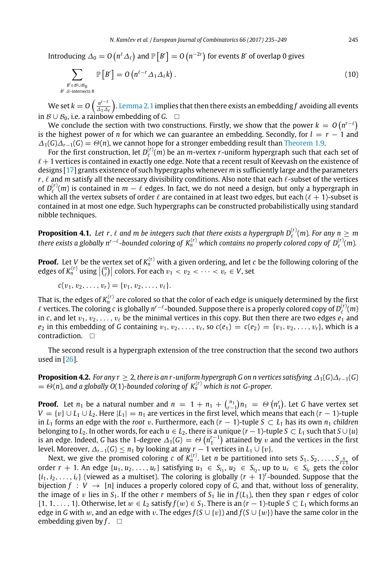Introducing  $\varDelta_0=O\left(n^{\ell}\varDelta_{\ell}\right)$  and  $\mathbb{P}\left[B'\right]=O\left(n^{-2r}\right)$  for events  $B'$  of overlap 0 gives

$$
\sum_{\substack{B' \in \mathcal{B} \cup \mathcal{B}_0 \\ S \text{-intersects } B}} \mathbb{P}\left[B'\right] = O\left(n^{\ell-r} \Delta_1 \Delta_\ell k\right). \tag{10}
$$

We set  $k = O\left(\frac{n^{r-\ell}}{4\lambda\Delta}\right)$  $\frac{n^{r-\ell}}{\Delta_1\Delta_\ell}$ ). [Lemma 2.1](#page-4-2) implies that then there exists an embedding f avoiding all events in  $\mathcal{B} \cup \mathcal{B}_0$ , i.e. a rainbow embedding of *G*.  $\Box$ 

We conclude the section with two constructions. Firstly, we show that the power  $k\,=\,O\left(n^{r-\ell}\right)$ is the highest power of *n* for which we can guarantee an embedding. Secondly, for  $l = r - 1$  and  $\Delta_1(G)\Delta_{r-1}(G) = \Theta(n)$ , we cannot hope for a stronger embedding result than [Theorem 1.9.](#page-3-1)

For the first construction, let  $D_{\ell}^{(r)}(m)$  be an *m*-vertex *r*-uniform hypergraph such that each set of  $\ell+1$  vertices is contained in exactly one edge. Note that a recent result of Keevash on the existence of designs [\[17\]](#page-13-18) grants existence of such hypergraphs whenever *m* is sufficiently large and the parameters *r*,  $\ell$  and *m* satisfy all the necessary divisibility conditions. Also note that each  $\ell$ -subset of the vertices of  $D_{\ell}^{(r)}(m)$  is contained in  $m-\ell$  edges. In fact, we do not need a design, but only a hypergraph in which all the vertex subsets of order  $\ell$  are contained in at least two edges, but each  $(\ell + 1)$ -subset is contained in at most one edge. Such hypergraphs can be constructed probabilistically using standard nibble techniques.

**Proposition 4.1.** Let  $r$ ,  $\ell$  and  $m$  be integers such that there exists a hypergraph  $D_{\ell}^{(r)}(m)$ . For any  $n \geq m$ *there exists a globally n<sup>r−ℓ</sup>-bounded coloring of*  $K_n^{(r)}$  *which contains no properly colored copy of*  $D_\ell^{(r)}(m)$ *.* 

**Proof.** Let V be the vertex set of  $K_n^{(r)}$  with a given ordering, and let  $c$  be the following coloring of the edges of  $K_n^{(r)}$  using  $\left| \binom{n}{\ell} \right|$  colors. For each  $v_1 < v_2 < \cdots < v_r \in V$ , set

 $c(v_1, v_2, \ldots, v_r) = \{v_1, v_2, \ldots, v_\ell\}.$ 

*B*

That is, the edges of  $K_n^{(r)}$  are colored so that the color of each edge is uniquely determined by the first  $\ell$  vertices. The coloring  $c$  is globally  $n^{r-\ell}$ -bounded. Suppose there is a properly colored copy of  $D^{(r)}_\ell(m)$ in *c*, and let  $v_1, v_2, \ldots, v_\ell$  be the minimal vertices in this copy. But then there are two edges  $e_1$  and  $e_2$  in this embedding of *G* containing  $v_1, v_2, \ldots, v_\ell$ , so  $c(e_1) = c(e_2) = \{v_1, v_2, \ldots, v_r\}$ , which is a contradiction. □

The second result is a hypergraph extension of the tree construction that the second two authors used in [\[26\]](#page-14-5).

**Proposition 4.2.** *For any r* ≥ 2*, there is an r-uniform hypergraph G on n vertices satisfying* ∆1(*G*)∆*r*−1(*G*)  $= \Theta(n)$ , and a globally O(1)-bounded coloring of  $K_n^{(r)}$  which is not G-proper.

**Proof.** Let  $n_1$  be a natural number and  $n = 1 + n_1 + {n_1 \choose r-1} n_1 = \Theta(n_1^r)$ . Let *G* have vertex set *V* = {v} ∪ *L*<sub>1</sub> ∪ *L*<sub>2</sub>. Here |*L*<sub>1</sub>| = *n*<sub>1</sub> are vertices in the first level, which means that each (*r* − 1)-tuple in *L*<sub>1</sub> forms an edge with the *root* v. Furthermore, each ( $r$  − 1)-tuple  $S \subset L_1$  has its own  $n_1$  *children* belonging to *L*<sub>2</sub>. In other words, for each  $u \in L_2$ , there is a unique  $(r - 1)$ -tuple  $S \subset L_1$  such that  $S \cup \{u\}$ is an edge. Indeed, *G* has the 1-degree  $\Delta_1(G) = \Theta(n_1^{r-1})$  attained by v and the vertices in the first level. Moreover,  $\Delta_{r-1}(G) \leq n_1$  by looking at any  $r-1$  vertices in  $L_1 \cup \{v\}$ .

Next, we give the promised coloring *c* of  $K_n^{(r)}$ . Let *n* be partitioned into sets  $S_1, S_2, \ldots, S_{\frac{n}{r+1}}$  of order  $r + 1$ . An edge  $\{u_1, u_2, ..., u_r\}$  satisfying  $u_1 \in S_{i_1}, u_2 \in S_{i_2}$ , up to  $u_r \in S_{i_r}$  gets the color  $\{i_1, i_2, \ldots, i_r\}$  (viewed as a multiset). The coloring is globally  $(r + 1)^r$ -bounded. Suppose that the bijection  $f : V \to [n]$  induces a properly colored copy of G, and that, without loss of generality, the image of v lies in  $S_1$ . If the other *r* members of  $S_1$  lie in  $f(L_1)$ , then they span *r* edges of color {1, 1, ..., 1}. Otherwise, let  $w \in L_2$  satisfy  $f(w) \in S_1$ . There is an  $(r - 1)$ -tuple  $S \subset L_1$  which forms an edge in *G* with w, and an edge with v. The edges  $f(S \cup \{v\})$  and  $f(S \cup \{w\})$  have the same color in the embedding given by  $f$ .  $\square$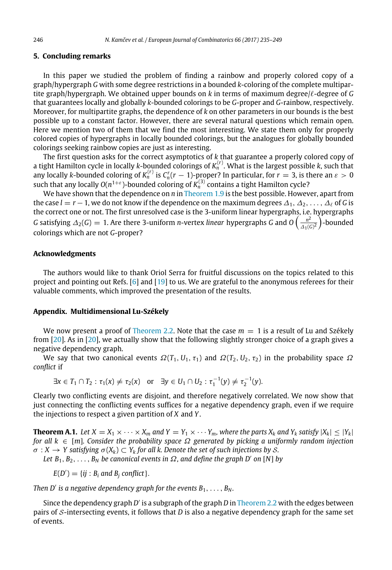#### **5. Concluding remarks**

In this paper we studied the problem of finding a rainbow and properly colored copy of a graph/hypergraph *G* with some degree restrictions in a bounded *k*-coloring of the complete multipartite graph/hypergraph. We obtained upper bounds on *k* in terms of maximum degree/ℓ-degree of *G* that guarantees locally and globally *k*-bounded colorings to be *G*-proper and *G*-rainbow, respectively. Moreover, for multipartite graphs, the dependence of *k* on other parameters in our bounds is the best possible up to a constant factor. However, there are several natural questions which remain open. Here we mention two of them that we find the most interesting. We state them only for properly colored copies of hypergraphs in locally bounded colorings, but the analogues for globally bounded colorings seeking rainbow copies are just as interesting.

The first question asks for the correct asymptotics of *k* that guarantee a properly colored copy of a tight Hamilton cycle in locally *k*-bounded colorings of *K* (*r*) *<sup>n</sup>* . What is the largest possible *k*, such that any locally *k*-bounded coloring of  $K_n^{(r)}$  is  $C_n^r(r-1)$ -proper? In particular, for  $r=3$ , is there an  $\varepsilon>0$ **n** contains  $\alpha$  bounded coloring of  $K_n$  is  $\alpha_n$ ,  $\alpha$  if  $\beta$  points. In particular, for  $\alpha = 3$ , is an such that any locally  $O(n^{1+\epsilon})$ -bounded coloring of  $K_n^{(3)}$  contains a tight Hamilton cycle?

We have shown that the dependence on *n* in [Theorem 1.9](#page-3-1) is the best possible. However, apart from the case  $l = r - 1$ , we do not know if the dependence on the maximum degrees  $\Delta_1, \Delta_2, \ldots, \Delta_\ell$  of *G* is the correct one or not. The first unresolved case is the 3-uniform linear hypergraphs, i.e. hypergraphs *G* satisfying  $\Delta_2(G) = 1$ . Are there 3-uniform *n*-vertex *linear* hypergraphs *G* and *O*  $\left( \frac{n^2}{\Delta_2(G)} \right)$  $\frac{n^2}{\Delta_1(G)^2}$  -bounded colorings which are not *G*-proper?

## **Acknowledgments**

The authors would like to thank Oriol Serra for fruitful discussions on the topics related to this project and pointing out Refs. [\[6\]](#page-13-15) and [\[19\]](#page-13-14) to us. We are grateful to the anonymous referees for their valuable comments, which improved the presentation of the results.

#### <span id="page-11-0"></span>**Appendix. Multidimensional Lu-Székely**

We now present a proof of [Theorem 2.2.](#page-4-1) Note that the case  $m = 1$  is a result of Lu and Székely from [\[20\]](#page-14-4). As in [\[20\]](#page-14-4), we actually show that the following slightly stronger choice of a graph gives a negative dependency graph.

We say that two canonical events  $\Omega(T_1, U_1, \tau_1)$  and  $\Omega(T_2, U_2, \tau_2)$  in the probability space  $\Omega$ *conflict* if

 $\exists x \in T_1 \cap T_2 : \tau_1(x) \neq \tau_2(x) \text{ or } \exists y \in U_1 \cap U_2 : \tau_1^{-1}(y) \neq \tau_2^{-1}(y).$ 

Clearly two conflicting events are disjoint, and therefore negatively correlated. We now show that just connecting the conflicting events suffices for a negative dependency graph, even if we require the injections to respect a given partition of *X* and *Y*.

**Theorem A.1.** Let  $X = X_1 \times \cdots \times X_m$  and  $Y = Y_1 \times \cdots Y_m$ , where the parts  $X_k$  and  $Y_k$  satisfy  $|X_k| \leq |Y_k|$ *for all k* ∈ [*m*]*. Consider the probability space* Ω *generated by picking a uniformly random injection*  $\sigma: X \to Y$  satisfying  $\sigma(X_k) \subset Y_k$  for all k. Denote the set of such injections by S.

Let  $B_1, B_2, \ldots, B_N$  be canonical events in  $\Omega$ , and define the graph D' on [N] by

 $E(D') = \{ij : B_i \text{ and } B_j \text{ conflict}\}.$ 

*Then D'* is a negative dependency graph for the events  $B_1, \ldots, B_N$ .

Since the dependency graph *D'* is a subgraph of the graph *D* in [Theorem 2.2](#page-4-1) with the edges between pairs of S-intersecting events, it follows that *D* is also a negative dependency graph for the same set of events.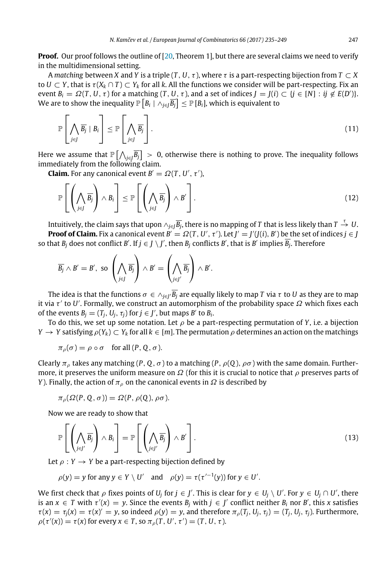**Proof.** Our proof follows the outline of [\[20,](#page-14-4) Theorem 1], but there are several claims we need to verify in the multidimensional setting.

A *matching* between *X* and *Y* is a triple  $(T, U, \tau)$ , where  $\tau$  is a part-respecting bijection from  $T \subset X$ to  $U \subset Y$ , that is  $\tau(X_k \cap T) \subset Y_k$  for all *k*. All the functions we consider will be part-respecting. Fix an event  $B_i = \Omega(T, U, \tau)$  for a matching  $(T, U, \tau)$ , and a set of indices  $J = J(i) \subset \{j \in [N] : ij \notin E(D')\}.$ We are to show the inequality  $\mathbb{P}\left[B_i \mid \wedge_{j\in J} \overline{B_j}\right] \leq \mathbb{P}\left[B_i\right]$ , which is equivalent to

$$
\mathbb{P}\left[\bigwedge_{j\in J}\overline{B_j}\mid B_i\right] \leq \mathbb{P}\left[\bigwedge_{j\in J}\overline{B_j}\right].\tag{11}
$$

Here we assume that  $\mathbb{P}\big[\bigwedge_{j\in j}\overline{B_j}\big]>0,$  otherwise there is nothing to prove. The inequality follows immediately from the following claim.

**Claim.** For any canonical event  $B' = \Omega(T, U', \tau')$ ,

$$
\mathbb{P}\left[\left(\bigwedge_{j\in J}\overline{B_j}\right)\wedge B_i\right] \leq \mathbb{P}\left[\left(\bigwedge_{j\in J}\overline{B_j}\right)\wedge B'\right].\tag{12}
$$

Intuitively, the claim says that upon  $\wedge_{j\in J}\overline{B_j}$ , there is no mapping of  $T$  that is less likely than  $T\stackrel{\tau}{\to} U.$ **Proof of Claim.** Fix a canonical event  $B' = \Omega(T, U', \tau')$ . Let  $J' = J'(J(i), B')$  be the set of indices  $j \in J$ so that  $B_j$  does not conflict  $B'$ . If  $j\in J\setminus J'$ , then  $B_j$  conflicts  $B'$ , that is  $B'$  implies  $\overline{B_j}$ . Therefore

$$
\overline{B_j} \wedge B' = B', \text{ so } \left(\bigwedge_{j \in J} \overline{B_j}\right) \wedge B' = \left(\bigwedge_{j \in J'} \overline{B_j}\right) \wedge B'.
$$

The idea is that the functions  $\sigma\in\wedge_{j\in J'}\overline{B_j}$  are equally likely to map  $T$  via  $\tau$  to  $U$  as they are to map it via  $\tau'$  to U'. Formally, we construct an automorphism of the probability space  $\Omega$  which fixes each of the events  $B_j = (T_j, U_j, \tau_j)$  for  $j \in J'$ , but maps  $B'$  to  $B_i$ .

To do this, we set up some notation. Let  $\rho$  be a part-respecting permutation of *Y*, i.e. a bijection *Y* → *Y* satisfying  $\rho(Y_k)$  ⊂  $Y_k$  for all  $k \in [m]$ . The permutation  $\rho$  determines an action on the matchings

$$
\pi_{\rho}(\sigma) = \rho \circ \sigma \quad \text{for all } (P, Q, \sigma).
$$

Clearly  $\pi_{\rho}$  takes any matching (*P*, *Q*,  $\sigma$ ) to a matching (*P*,  $\rho$ (*Q*),  $\rho\sigma$ ) with the same domain. Furthermore, it preserves the uniform measure on  $\Omega$  (for this it is crucial to notice that  $\rho$  preserves parts of *Y*). Finally, the action of  $\pi_{\rho}$  on the canonical events in  $\Omega$  is described by

$$
\pi_{\rho}(\Omega(P,Q,\sigma)) = \Omega(P,\rho(Q),\rho\sigma).
$$

Now we are ready to show that

<span id="page-12-0"></span>
$$
\mathbb{P}\left[\left(\bigwedge_{j\in J'}\overline{B_j}\right)\wedge B_i\right] = \mathbb{P}\left[\left(\bigwedge_{j\in J'}\overline{B_j}\right)\wedge B'\right].\tag{13}
$$

Let  $\rho: Y \to Y$  be a part-respecting bijection defined by

$$
\rho(y) = y \text{ for any } y \in Y \setminus U' \quad \text{and} \quad \rho(y) = \tau(\tau'^{-1}(y)) \text{ for } y \in U'.
$$

We first check that  $\rho$  fixes points of  $U_j$  for  $j \in J'$ . This is clear for  $y \in U_j \setminus U'$ . For  $y \in U_j \cap U'$ , there is an  $x \in T$  with  $\tau'(x) = y$ . Since the events  $B_j$  with  $j \in J'$  conflict neither  $B_i$  nor  $B'$ , this *x* satisfies  $\tau(x) = \tau_j(x) = \tau(x)' = y$ , so indeed  $\rho(y) = y$ , and therefore  $\pi_\rho(T_j, U_j, \tau_j) = (T_j, U_j, \tau_j)$ . Furthermore,  $\rho(\tau'(x)) = \tau(x)$  for every  $x \in T$ , so  $\pi_\rho(T, U', \tau') = (T, U, \tau)$ .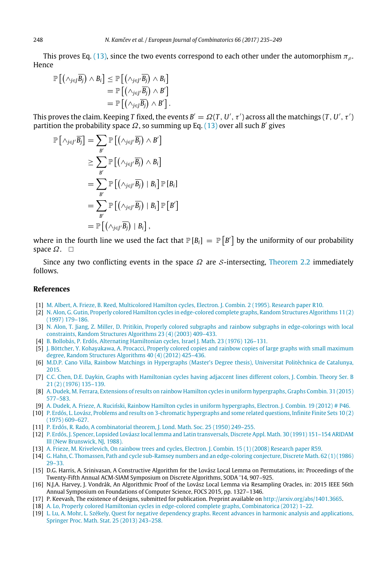This proves Eq. [\(13\),](#page-12-0) since the two events correspond to each other under the automorphism  $\pi_q$ . Hence

$$
\mathbb{P}\left[\left(\wedge_{j\in J}\overline{B_j}\right) \wedge B_i\right] \leq \mathbb{P}\left[\left(\wedge_{j\in J'}\overline{B_j}\right) \wedge B_i\right] \\
= \mathbb{P}\left[\left(\wedge_{j\in J'}\overline{B_j}\right) \wedge B'\right] \\
= \mathbb{P}\left[\left(\wedge_{j\in J}\overline{B_j}\right) \wedge B'\right].
$$

This proves the claim. Keeping T fixed, the events  $B'=\Omega(T,U',\tau')$  across all the matchings  $(T,U',\tau')$ partition the probability space  $\Omega$ , so summing up Eq. [\(13\)](#page-12-0) over all such *B'* gives

$$
\mathbb{P}[\wedge_{j\in J'}\overline{B_j}] = \sum_{B'} \mathbb{P}[(\wedge_{j\in J'}\overline{B_j}) \wedge B']
$$
  
\n
$$
\geq \sum_{B'} \mathbb{P}[(\wedge_{j\in J'}\overline{B_j}) \wedge B_i]
$$
  
\n
$$
= \sum_{B'} \mathbb{P}[(\wedge_{j\in J'}\overline{B_j}) | B_i] \mathbb{P}[B_i]
$$
  
\n
$$
= \sum_{B'} \mathbb{P}[(\wedge_{j\in J'}\overline{B_j}) | B_i] \mathbb{P}[B']
$$
  
\n
$$
= \mathbb{P}[(\wedge_{j\in J'}\overline{B_j}) | B_i],
$$

where in the fourth line we used the fact that  $\mathbb{P}\left[ B_i \right]\,=\,\mathbb{P}\left[ B' \right]$  by the uniformity of our probability space  $\Omega$ .  $\square$ 

Since any two conflicting events in the space  $\Omega$  are S-intersecting, [Theorem 2.2](#page-4-1) immediately follows.

#### **References**

- <span id="page-13-8"></span>[1] [M. Albert, A. Frieze, B. Reed, Multicolored Hamilton cycles, Electron. J. Combin. 2 \(1995\). Research paper R10.](http://refhub.elsevier.com/S0195-6698(17)30098-7/sb1)
- <span id="page-13-3"></span>[2] [N. Alon, G. Gutin, Properly colored Hamilton cycles in edge-colored complete graphs, Random Structures Algorithms 11 \(2\)](http://refhub.elsevier.com/S0195-6698(17)30098-7/sb2) [\(1997\) 179–186.](http://refhub.elsevier.com/S0195-6698(17)30098-7/sb2)
- <span id="page-13-5"></span>[3] [N. Alon, T. Jiang, Z. Miller, D. Pritikin, Properly colored subgraphs and rainbow subgraphs in edge-colorings with local](http://refhub.elsevier.com/S0195-6698(17)30098-7/sb3) [constraints, Random Structures Algorithms 23 \(4\) \(2003\) 409–433.](http://refhub.elsevier.com/S0195-6698(17)30098-7/sb3)
- <span id="page-13-1"></span>[4] [B. Bollobás, P. Erdős, Alternating Hamiltonian cycles, Israel J. Math. 23 \(1976\) 126–131.](http://refhub.elsevier.com/S0195-6698(17)30098-7/sb4)
- <span id="page-13-6"></span>[5] [J. Böttcher, Y. Kohayakawa, A. Procacci, Properly colored copies and rainbow copies of large graphs with small maximum](http://refhub.elsevier.com/S0195-6698(17)30098-7/sb5) [degree, Random Structures Algorithms 40 \(4\) \(2012\) 425–436.](http://refhub.elsevier.com/S0195-6698(17)30098-7/sb5)
- <span id="page-13-15"></span>[6] [M.D.P. Cano Villa, Rainbow Matchings in Hypergraphs \(Master's Degree thesis\), Universitat Politèchnica de Catalunya,](http://refhub.elsevier.com/S0195-6698(17)30098-7/sb6) [2015.](http://refhub.elsevier.com/S0195-6698(17)30098-7/sb6)
- <span id="page-13-2"></span>[7] [C.C. Chen, D.E. Daykin, Graphs with Hamiltonian cycles having adjaccent lines different colors, J. Combin. Theory Ser. B](http://refhub.elsevier.com/S0195-6698(17)30098-7/sb7) [21 \(2\) \(1976\) 135–139.](http://refhub.elsevier.com/S0195-6698(17)30098-7/sb7)
- <span id="page-13-12"></span>[8] [A. Dudek, M. Ferrara, Extensions of results on rainbow Hamilton cycles in uniform hypergraphs, Graphs Combin. 31 \(2015\)](http://refhub.elsevier.com/S0195-6698(17)30098-7/sb8) [577–583.](http://refhub.elsevier.com/S0195-6698(17)30098-7/sb8)
- <span id="page-13-11"></span>[9] [A. Dudek, A. Frieze, A. Ruciński, Rainbow Hamilton cycles in uniform hypergraphs, Electron. J. Combin. 19 \(2012\) # P46.](http://refhub.elsevier.com/S0195-6698(17)30098-7/sb9)
- <span id="page-13-13"></span>[\[](http://refhub.elsevier.com/S0195-6698(17)30098-7/sb10)10] [P. Erdős, L. Lovász, Problems and results on 3-chromatic hypergraphs and some related questions, Infinite Finite Sets 10 \(2\)](http://refhub.elsevier.com/S0195-6698(17)30098-7/sb10) [\(1975\) 609–627.](http://refhub.elsevier.com/S0195-6698(17)30098-7/sb10)
- <span id="page-13-0"></span>[11] P. Erdős, R. Rado, A combinatorial theorem, J. Lond. Math. Soc. 25 (1950) 249-255.
- <span id="page-13-10"></span>[\[](http://refhub.elsevier.com/S0195-6698(17)30098-7/sb12)12] [P. Erdős, J. Spencer, Lopsided Lováasz local lemma and Latin transversals, Discrete Appl. Math. 30 \(1991\) 151–154 ARIDAM](http://refhub.elsevier.com/S0195-6698(17)30098-7/sb12) [III \(New Brunswick, NJ, 1988\).](http://refhub.elsevier.com/S0195-6698(17)30098-7/sb12)
- <span id="page-13-9"></span>[13] [A. Frieze, M. Krivelevich, On rainbow trees and cycles, Electron. J. Combin. 15 \(1\) \(2008\) Research paper R59.](http://refhub.elsevier.com/S0195-6698(17)30098-7/sb13)
- <span id="page-13-7"></span>[\[](http://refhub.elsevier.com/S0195-6698(17)30098-7/sb14)14] [G. Hahn, C. Thomassen, Path and cycle sub-Ramsey numbers and an edge-coloring conjecture, Discrete Math. 62 \(1\) \(1986\)](http://refhub.elsevier.com/S0195-6698(17)30098-7/sb14) [29–33.](http://refhub.elsevier.com/S0195-6698(17)30098-7/sb14)
- <span id="page-13-16"></span>[15] D.G. Harris, A. Srinivasan, A Constructive Algorithm for the Lovász Local Lemma on Permutations, in: Proceedings of the Twenty-Fifth Annual ACM-SIAM Symposium on Discrete Algorithms, SODA '14, 907–925.
- <span id="page-13-17"></span>[16] N.J.A. Harvey, J. Vondrák, An Algorithmic Proof of the Lovász Local Lemma via Resampling Oracles, in: 2015 IEEE 56th Annual Symposium on Foundations of Computer Science, FOCS 2015, pp. 1327–1346.
- <span id="page-13-18"></span>[17] P. Keevash, The existence of designs, submitted for publication. Preprint available on [http://arxiv.org/abs/1401.3665.](http://arxiv.org/abs/1401.3665)
- <span id="page-13-4"></span>[18] [A. Lo, Properly colored Hamiltonian cycles in edge-colored complete graphs, Combinatorica \(2012\) 1–22.](http://refhub.elsevier.com/S0195-6698(17)30098-7/sb18)
- <span id="page-13-14"></span>[\[](http://refhub.elsevier.com/S0195-6698(17)30098-7/sb19)19] [L. Lu, A. Mohr, L. Székely, Quest for negative dependency graphs. Recent advances in harmonic analysis and applications,](http://refhub.elsevier.com/S0195-6698(17)30098-7/sb19) [Springer Proc. Math. Stat. 25 \(2013\) 243–258.](http://refhub.elsevier.com/S0195-6698(17)30098-7/sb19)